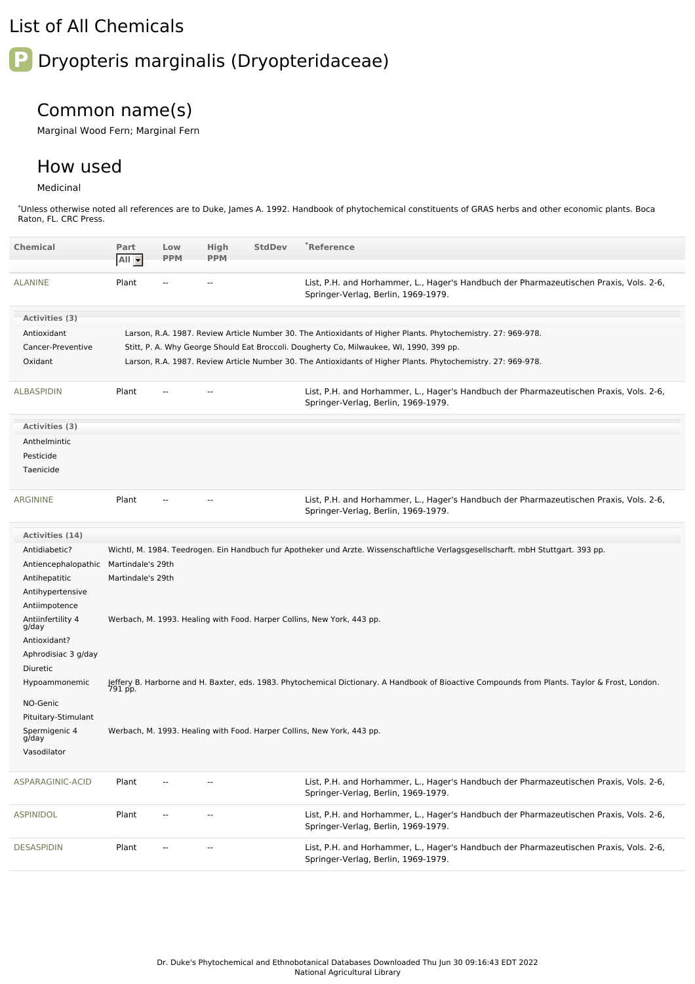## List of All Chemicals

# **P** Dryopteris marginalis (Dryopteridaceae)

## Common name(s)

Marginal Wood Fern; Marginal Fern

### How used

#### Medicinal

\*Unless otherwise noted all references are to Duke, James A. 1992. Handbook of phytochemical constituents of GRAS herbs and other economic plants. Boca Raton, FL. CRC Press.

| <b>Chemical</b>            | Part<br>All -                                                                                                                                             | Low<br><b>PPM</b>        | High<br><b>PPM</b> | <b>StdDev</b> | *Reference                                                                                                                       |  |  |
|----------------------------|-----------------------------------------------------------------------------------------------------------------------------------------------------------|--------------------------|--------------------|---------------|----------------------------------------------------------------------------------------------------------------------------------|--|--|
| <b>ALANINE</b>             | Plant                                                                                                                                                     | $\overline{\phantom{a}}$ | ۰.                 |               | List, P.H. and Horhammer, L., Hager's Handbuch der Pharmazeutischen Praxis, Vols. 2-6,<br>Springer-Verlag, Berlin, 1969-1979.    |  |  |
| Activities (3)             |                                                                                                                                                           |                          |                    |               |                                                                                                                                  |  |  |
| Antioxidant                |                                                                                                                                                           |                          |                    |               | Larson, R.A. 1987. Review Article Number 30. The Antioxidants of Higher Plants. Phytochemistry. 27: 969-978.                     |  |  |
| Cancer-Preventive          | Stitt, P. A. Why George Should Eat Broccoli. Dougherty Co, Milwaukee, WI, 1990, 399 pp.                                                                   |                          |                    |               |                                                                                                                                  |  |  |
| Oxidant                    | Larson, R.A. 1987. Review Article Number 30. The Antioxidants of Higher Plants. Phytochemistry. 27: 969-978.                                              |                          |                    |               |                                                                                                                                  |  |  |
| <b>ALBASPIDIN</b>          | Plant                                                                                                                                                     |                          |                    |               | List, P.H. and Horhammer, L., Hager's Handbuch der Pharmazeutischen Praxis, Vols. 2-6,<br>Springer-Verlag, Berlin, 1969-1979.    |  |  |
| Activities (3)             |                                                                                                                                                           |                          |                    |               |                                                                                                                                  |  |  |
| Anthelmintic               |                                                                                                                                                           |                          |                    |               |                                                                                                                                  |  |  |
| Pesticide                  |                                                                                                                                                           |                          |                    |               |                                                                                                                                  |  |  |
| Taenicide                  |                                                                                                                                                           |                          |                    |               |                                                                                                                                  |  |  |
| <b>ARGININE</b>            | Plant                                                                                                                                                     |                          |                    |               | List, P.H. and Horhammer, L., Hager's Handbuch der Pharmazeutischen Praxis, Vols. 2-6,<br>Springer-Verlag, Berlin, 1969-1979.    |  |  |
| Activities (14)            |                                                                                                                                                           |                          |                    |               |                                                                                                                                  |  |  |
| Antidiabetic?              |                                                                                                                                                           |                          |                    |               | Wichtl, M. 1984. Teedrogen. Ein Handbuch fur Apotheker und Arzte. Wissenschaftliche Verlagsgesellscharft. mbH Stuttgart. 393 pp. |  |  |
| Antiencephalopathic        | Martindale's 29th                                                                                                                                         |                          |                    |               |                                                                                                                                  |  |  |
| Antihepatitic              | Martindale's 29th                                                                                                                                         |                          |                    |               |                                                                                                                                  |  |  |
| Antihypertensive           |                                                                                                                                                           |                          |                    |               |                                                                                                                                  |  |  |
| Antiimpotence              |                                                                                                                                                           |                          |                    |               |                                                                                                                                  |  |  |
| Antiinfertility 4<br>g/day | Werbach, M. 1993. Healing with Food. Harper Collins, New York, 443 pp.                                                                                    |                          |                    |               |                                                                                                                                  |  |  |
| Antioxidant?               |                                                                                                                                                           |                          |                    |               |                                                                                                                                  |  |  |
| Aphrodisiac 3 g/day        |                                                                                                                                                           |                          |                    |               |                                                                                                                                  |  |  |
| Diuretic                   |                                                                                                                                                           |                          |                    |               |                                                                                                                                  |  |  |
| Hypoammonemic              | Jeffery B. Harborne and H. Baxter, eds. 1983. Phytochemical Dictionary. A Handbook of Bioactive Compounds from Plants. Taylor & Frost, London.<br>791 pp. |                          |                    |               |                                                                                                                                  |  |  |
| NO-Genic                   |                                                                                                                                                           |                          |                    |               |                                                                                                                                  |  |  |
| Pituitary-Stimulant        |                                                                                                                                                           |                          |                    |               |                                                                                                                                  |  |  |
| Spermigenic 4<br>g/day     |                                                                                                                                                           |                          |                    |               | Werbach, M. 1993. Healing with Food. Harper Collins, New York, 443 pp.                                                           |  |  |
|                            |                                                                                                                                                           |                          |                    |               |                                                                                                                                  |  |  |
| Vasodilator                |                                                                                                                                                           |                          |                    |               |                                                                                                                                  |  |  |
| ASPARAGINIC-ACID           | Plant                                                                                                                                                     |                          |                    |               | List, P.H. and Horhammer, L., Hager's Handbuch der Pharmazeutischen Praxis, Vols. 2-6,<br>Springer-Verlag, Berlin, 1969-1979.    |  |  |
| <b>ASPINIDOL</b>           | Plant                                                                                                                                                     |                          |                    |               | List, P.H. and Horhammer, L., Hager's Handbuch der Pharmazeutischen Praxis, Vols. 2-6,<br>Springer-Verlag, Berlin, 1969-1979.    |  |  |
| <b>DESASPIDIN</b>          | Plant                                                                                                                                                     |                          |                    |               | List, P.H. and Horhammer, L., Hager's Handbuch der Pharmazeutischen Praxis, Vols. 2-6,<br>Springer-Verlag, Berlin, 1969-1979.    |  |  |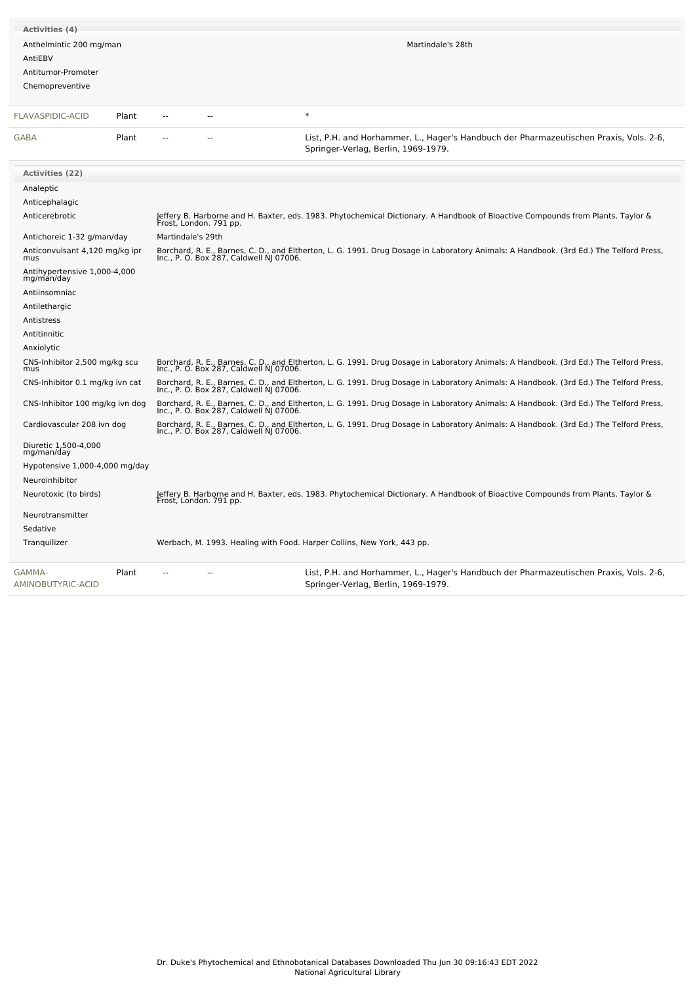| <b>Activities (4)</b>                                                       |                                                                                                                                                                                   |        |                                                                                                                                        |  |  |  |  |  |
|-----------------------------------------------------------------------------|-----------------------------------------------------------------------------------------------------------------------------------------------------------------------------------|--------|----------------------------------------------------------------------------------------------------------------------------------------|--|--|--|--|--|
| Anthelmintic 200 mg/man<br>AntiEBV<br>Antitumor-Promoter<br>Chemopreventive |                                                                                                                                                                                   |        | Martindale's 28th                                                                                                                      |  |  |  |  |  |
| <b>FLAVASPIDIC-ACID</b><br>Plant                                            | $\sim$                                                                                                                                                                            | $\ast$ |                                                                                                                                        |  |  |  |  |  |
| GABA<br>Plant                                                               |                                                                                                                                                                                   |        | List, P.H. and Horhammer, L., Hager's Handbuch der Pharmazeutischen Praxis, Vols. 2-6,<br>Springer-Verlag, Berlin, 1969-1979.          |  |  |  |  |  |
| <b>Activities (22)</b>                                                      |                                                                                                                                                                                   |        |                                                                                                                                        |  |  |  |  |  |
| Analeptic                                                                   |                                                                                                                                                                                   |        |                                                                                                                                        |  |  |  |  |  |
| Anticephalagic                                                              |                                                                                                                                                                                   |        |                                                                                                                                        |  |  |  |  |  |
| Anticerebrotic                                                              | Jeffery B. Harborne and H. Baxter, eds. 1983. Phytochemical Dictionary. A Handbook of Bioactive Compounds from Plants. Taylor &<br>Frost, London. 791 pp.                         |        |                                                                                                                                        |  |  |  |  |  |
| Antichoreic 1-32 g/man/day                                                  | Martindale's 29th                                                                                                                                                                 |        |                                                                                                                                        |  |  |  |  |  |
| Anticonvulsant 4,120 mg/kg ipr<br>mus                                       | Borchard, R. E., Barnes, C. D., and Eltherton, L. G. 1991. Drug Dosage in Laboratory Animals: A Handbook. (3rd Ed.) The Telford Press,<br>Inc., P. O. Box 287, Caldwell NJ 07006. |        |                                                                                                                                        |  |  |  |  |  |
| Antihypertensive 1,000-4,000<br>mg/man/day                                  |                                                                                                                                                                                   |        |                                                                                                                                        |  |  |  |  |  |
| Antiinsomniac                                                               |                                                                                                                                                                                   |        |                                                                                                                                        |  |  |  |  |  |
| Antilethargic                                                               |                                                                                                                                                                                   |        |                                                                                                                                        |  |  |  |  |  |
| Antistress                                                                  |                                                                                                                                                                                   |        |                                                                                                                                        |  |  |  |  |  |
| Antitinnitic                                                                |                                                                                                                                                                                   |        |                                                                                                                                        |  |  |  |  |  |
| Anxiolytic                                                                  |                                                                                                                                                                                   |        |                                                                                                                                        |  |  |  |  |  |
| CNS-Inhibitor 2,500 mg/kg scu<br>mus                                        | Borchard, R. E., Barnes, C. D., and Eltherton, L. G. 1991. Drug Dosage in Laboratory Animals: A Handbook. (3rd Ed.) The Telford Press,<br>Inc., P. O. Box 287, Caldwell NJ 07006. |        |                                                                                                                                        |  |  |  |  |  |
| CNS-Inhibitor 0.1 mg/kg ivn cat                                             | Borchard, R. E., Barnes, C. D., and Eltherton, L. G. 1991. Drug Dosage in Laboratory Animals: A Handbook. (3rd Ed.) The Telford Press,<br>Inc., P. O. Box 287, Caldwell NJ 07006. |        |                                                                                                                                        |  |  |  |  |  |
| CNS-Inhibitor 100 mg/kg ivn dog                                             | Borchard, R. E., Barnes, C. D., and Eltherton, L. G. 1991. Drug Dosage in Laboratory Animals: A Handbook. (3rd Ed.) The Telford Press,<br>Inc., P. O. Box 287, Caldwell NJ 07006. |        |                                                                                                                                        |  |  |  |  |  |
| Cardiovascular 208 ivn dog                                                  | Inc., P. O. Box 287, Caldwell NJ 07006.                                                                                                                                           |        | Borchard, R. E., Barnes, C. D., and Eltherton, L. G. 1991. Drug Dosage in Laboratory Animals: A Handbook. (3rd Ed.) The Telford Press, |  |  |  |  |  |
| Diuretic 1,500-4,000<br>mg/man/day                                          |                                                                                                                                                                                   |        |                                                                                                                                        |  |  |  |  |  |
| Hypotensive 1,000-4,000 mg/day                                              |                                                                                                                                                                                   |        |                                                                                                                                        |  |  |  |  |  |
| Neuroinhibitor                                                              |                                                                                                                                                                                   |        |                                                                                                                                        |  |  |  |  |  |
| Neurotoxic (to birds)                                                       | Frost, London. 791 pp.                                                                                                                                                            |        | Jeffery B. Harborne and H. Baxter, eds. 1983. Phytochemical Dictionary. A Handbook of Bioactive Compounds from Plants. Taylor &        |  |  |  |  |  |
| Neurotransmitter                                                            |                                                                                                                                                                                   |        |                                                                                                                                        |  |  |  |  |  |
| Sedative                                                                    |                                                                                                                                                                                   |        |                                                                                                                                        |  |  |  |  |  |
| Tranquilizer                                                                |                                                                                                                                                                                   |        | Werbach, M. 1993. Healing with Food. Harper Collins, New York, 443 pp.                                                                 |  |  |  |  |  |
| GAMMA-<br>Plant<br>AMINOBUTYRIC-ACID                                        |                                                                                                                                                                                   |        | List, P.H. and Horhammer, L., Hager's Handbuch der Pharmazeutischen Praxis, Vols. 2-6,<br>Springer-Verlag, Berlin, 1969-1979.          |  |  |  |  |  |